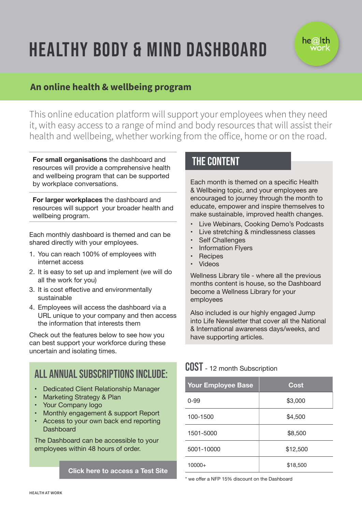## HEALTHY BODY & MIND DASHBOARD

# he $@$ lth

### **An online health & wellbeing program**

This online education platform will support your employees when they need it, with easy access to a range of mind and body resources that will assist their health and wellbeing, whether working from the office, home or on the road.

**For small organisations** the dashboard and resources will provide a comprehensive health and wellbeing program that can be supported by workplace conversations.

**For larger workplaces** the dashboard and resources will support your broader health and wellbeing program.

Each monthly dashboard is themed and can be shared directly with your employees.

- 1. You can reach 100% of employees with internet access
- 2. It is easy to set up and implement (we will do all the work for you)
- 3. It is cost effective and environmentally sustainable
- 4. Employees will access the dashboard via a URL unique to your company and then access the information that interests them

Check out the features below to see how you can best support your workforce during these uncertain and isolating times.

## All annual subscriptions include:

- Dedicated Client Relationship Manager
- Marketing Strategy & Plan
- Your Company logo
- Monthly engagement & support Report
- Access to your own back end reporting Dashboard

The Dashboard can be accessible to your employees within 48 hours of order.

#### **Click here to access a Test Site**

### THE CONTENT

Each month is themed on a specific Health & Wellbeing topic, and your employees are encouraged to journey through the month to educate, empower and inspire themselves to make sustainable, improved health changes.

- Live Webinars, Cooking Demo's Podcasts
- Live stretching & mindlessness classes
- Self Challenges
- Information Flyers
- **Recipes**
- Videos

Wellness Library tile - where all the previous months content is house, so the Dashboard become a Wellness Library for your employees

Also included is our highly engaged Jump into Life Newsletter that cover all the National & International awareness days/weeks, and have supporting articles.

## COST - 12 month Subscription

| <b>Your Employee Base</b> | <b>Cost</b> |
|---------------------------|-------------|
| $0 - 99$                  | \$3,000     |
| 100-1500                  | \$4,500     |
| 1501-5000                 | \$8,500     |
| 5001-10000                | \$12,500    |
| $10000+$                  | \$18,500    |

\* we offer a NFP 15% discount on the Dashboard